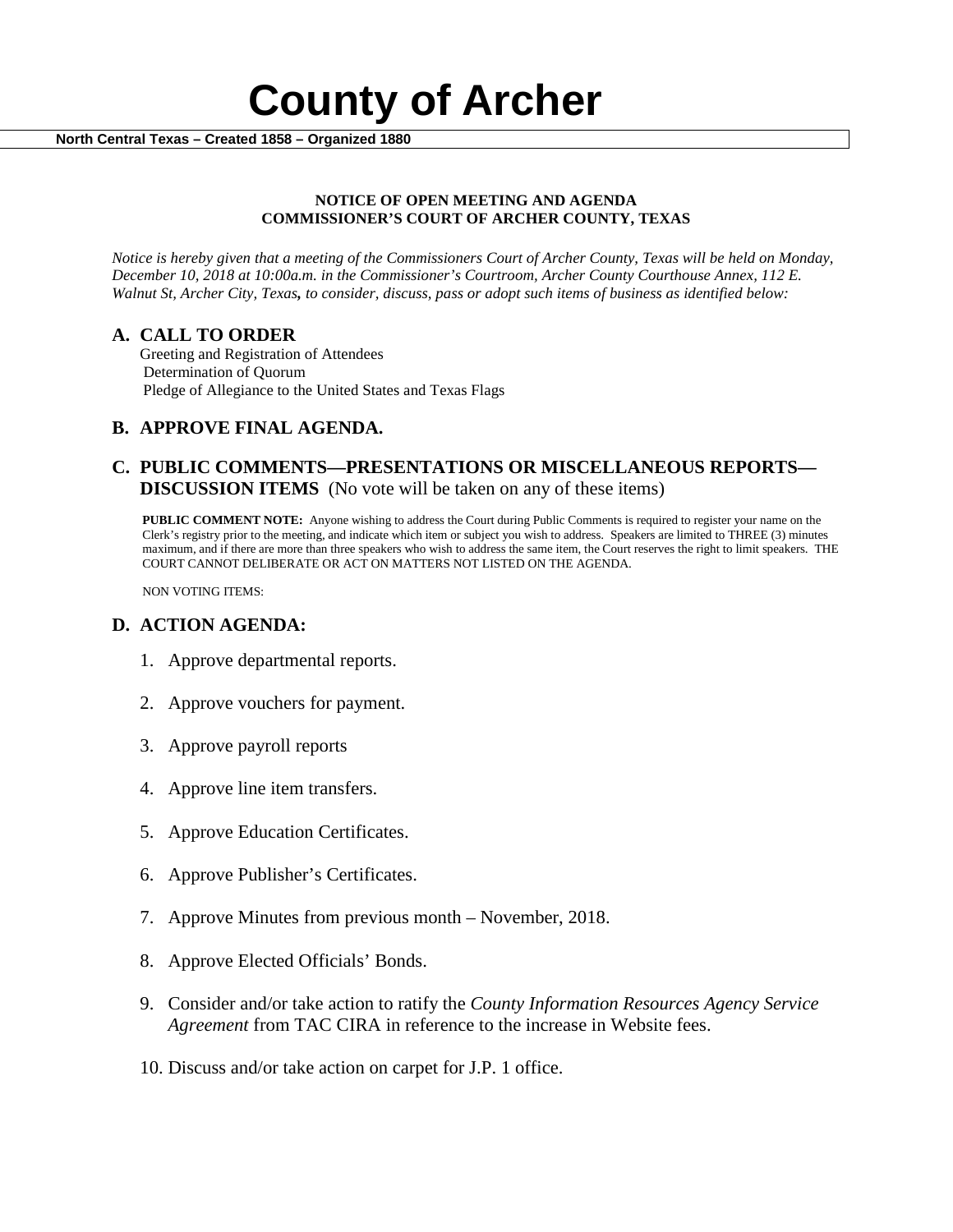

#### **NOTICE OF OPEN MEETING AND AGENDA COMMISSIONER'S COURT OF ARCHER COUNTY, TEXAS**

*Notice is hereby given that a meeting of the Commissioners Court of Archer County, Texas will be held on Monday, December 10, 2018 at 10:00a.m. in the Commissioner's Courtroom, Archer County Courthouse Annex, 112 E. Walnut St, Archer City, Texas, to consider, discuss, pass or adopt such items of business as identified below:*

**A. CALL TO ORDER** Greeting and Registration of Attendees Determination of Quorum Pledge of Allegiance to the United States and Texas Flags

# **B. APPROVE FINAL AGENDA.**

# **C. PUBLIC COMMENTS—PRESENTATIONS OR MISCELLANEOUS REPORTS— DISCUSSION ITEMS** (No vote will be taken on any of these items)

**PUBLIC COMMENT NOTE:** Anyone wishing to address the Court during Public Comments is required to register your name on the Clerk's registry prior to the meeting, and indicate which item or subject you wish to address. Speakers are limited to THREE (3) minutes maximum, and if there are more than three speakers who wish to address the same item, the Court reserves the right to limit speakers. THE COURT CANNOT DELIBERATE OR ACT ON MATTERS NOT LISTED ON THE AGENDA.

NON VOTING ITEMS:

### **D. ACTION AGENDA:**

- 1. Approve departmental reports.
- 2. Approve vouchers for payment.
- 3. Approve payroll reports
- 4. Approve line item transfers.
- 5. Approve Education Certificates.
- 6. Approve Publisher's Certificates.
- 7. Approve Minutes from previous month November, 2018.
- 8. Approve Elected Officials' Bonds.
- 9. Consider and/or take action to ratify the *County Information Resources Agency Service Agreement* from TAC CIRA in reference to the increase in Website fees.
- 10. Discuss and/or take action on carpet for J.P. 1 office.